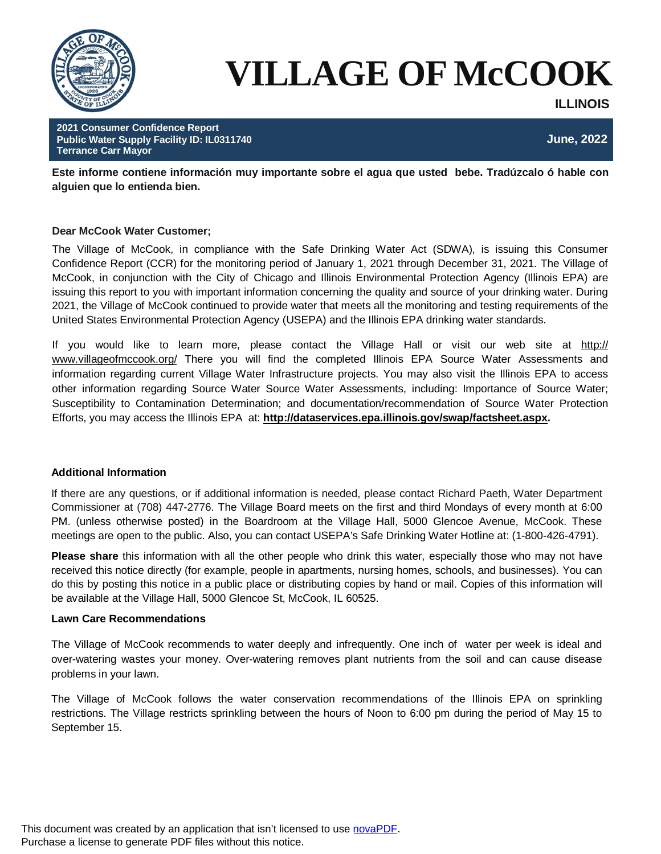

# **VILLAGE OF McCOOK**

**ILLINOIS**

**2021 Consumer Confidence Report Public Water Supply Facility ID: IL0311740 June, 2022 Terrance Carr Mayor**

**Este informe contiene información muy importante sobre el agua que usted bebe. Tradúzcalo ó hable con alguien que lo entienda bien.**

# **Dear McCook Water Customer;**

The Village of McCook, in compliance with the Safe Drinking Water Act (SDWA), is issuing this Consumer Confidence Report (CCR) for the monitoring period of January 1, 2021 through December 31, 2021. The Village of McCook, in conjunction with the City of Chicago and Illinois Environmental Protection Agency (Illinois EPA) are issuing this report to you with important information concerning the quality and source of your drinking water. During 2021, the Village of McCook continued to provide water that meets all the monitoring and testing requirements of the United States Environmental Protection Agency (USEPA) and the Illinois EPA drinking water standards.

If you would like to learn more, please contact the Village Hall or visit our web site at http:// www.villageofmccook.org/ There you will find the completed Illinois EPA Source Water Assessments and information regarding current Village Water Infrastructure projects. You may also visit the Illinois EPA to access other information regarding Source Water Source Water Assessments, including: Importance of Source Water; Susceptibility to Contamination Determination; and documentation/recommendation of Source Water Protection Efforts, you may access the Illinois EPA at: **http://dataservices.epa.illinois.gov/swap/factsheet.aspx.**

# **Additional Information**

If there are any questions, or if additional information is needed, please contact Richard Paeth, Water Department Commissioner at (708) 447-2776. The Village Board meets on the first and third Mondays of every month at 6:00 PM. (unless otherwise posted) in the Boardroom at the Village Hall, 5000 Glencoe Avenue, McCook. These meetings are open to the public. Also, you can contact USEPA's Safe Drinking Water Hotline at: (1-800-426-4791).

**Please share** this information with all the other people who drink this water, especially those who may not have received this notice directly (for example, people in apartments, nursing homes, schools, and businesses). You can do this by posting this notice in a public place or distributing copies by hand or mail. Copies of this information will be available at the Village Hall, 5000 Glencoe St, McCook, IL 60525.

# **Lawn Care Recommendations**

The Village of McCook recommends to water deeply and infrequently. One inch of water per week is ideal and over-watering wastes your money. Over-watering removes plant nutrients from the soil and can cause disease problems in your lawn.

The Village of McCook follows the water conservation recommendations of the Illinois EPA on sprinkling restrictions. The Village restricts sprinkling between the hours of Noon to 6:00 pm during the period of May 15 to September 15.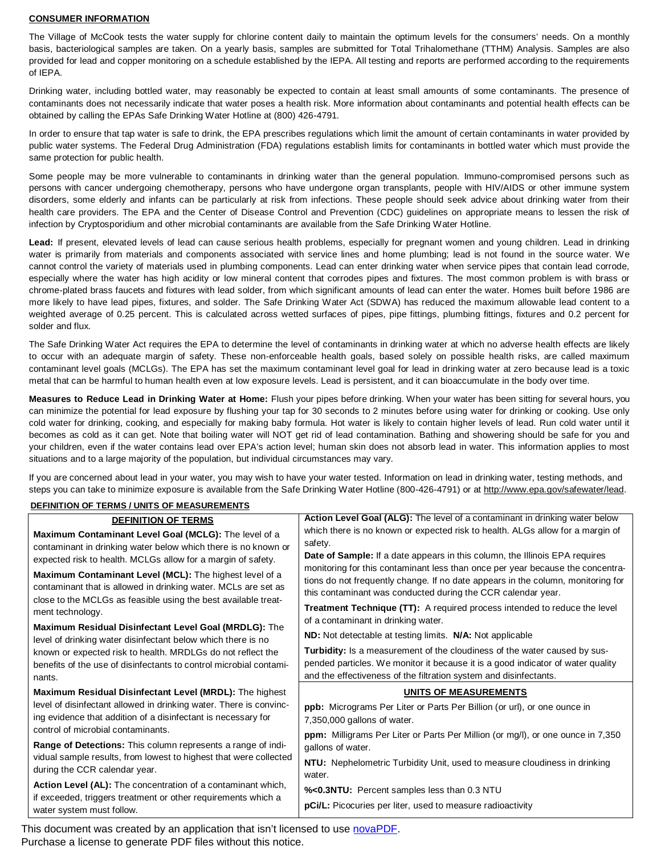#### **CONSUMER INFORMATION**

The Village of McCook tests the water supply for chlorine content daily to maintain the optimum levels for the consumers' needs. On a monthly basis, bacteriological samples are taken. On a yearly basis, samples are submitted for Total Trihalomethane (TTHM) Analysis. Samples are also provided for lead and copper monitoring on a schedule established by the IEPA. All testing and reports are performed according to the requirements of IEPA.

Drinking water, including bottled water, may reasonably be expected to contain at least small amounts of some contaminants. The presence of contaminants does not necessarily indicate that water poses a health risk. More information about contaminants and potential health effects can be obtained by calling the EPAs Safe Drinking Water Hotline at (800) 426-4791.

In order to ensure that tap water is safe to drink, the EPA prescribes regulations which limit the amount of certain contaminants in water provided by public water systems. The Federal Drug Administration (FDA) regulations establish limits for contaminants in bottled water which must provide the same protection for public health.

Some people may be more vulnerable to contaminants in drinking water than the general population. Immuno-compromised persons such as persons with cancer undergoing chemotherapy, persons who have undergone organ transplants, people with HIV/AIDS or other immune system disorders, some elderly and infants can be particularly at risk from infections. These people should seek advice about drinking water from their health care providers. The EPA and the Center of Disease Control and Prevention (CDC) guidelines on appropriate means to lessen the risk of infection by Cryptosporidium and other microbial contaminants are available from the Safe Drinking Water Hotline.

**Lead:** If present, elevated levels of lead can cause serious health problems, especially for pregnant women and young children. Lead in drinking water is primarily from materials and components associated with service lines and home plumbing; lead is not found in the source water. We cannot control the variety of materials used in plumbing components. Lead can enter drinking water when service pipes that contain lead corrode, especially where the water has high acidity or low mineral content that corrodes pipes and fixtures. The most common problem is with brass or chrome-plated brass faucets and fixtures with lead solder, from which significant amounts of lead can enter the water. Homes built before 1986 are more likely to have lead pipes, fixtures, and solder. The Safe Drinking Water Act (SDWA) has reduced the maximum allowable lead content to a weighted average of 0.25 percent. This is calculated across wetted surfaces of pipes, pipe fittings, plumbing fittings, fixtures and 0.2 percent for solder and flux.

The Safe Drinking Water Act requires the EPA to determine the level of contaminants in drinking water at which no adverse health effects are likely to occur with an adequate margin of safety. These non-enforceable health goals, based solely on possible health risks, are called maximum contaminant level goals (MCLGs). The EPA has set the maximum contaminant level goal for lead in drinking water at zero because lead is a toxic metal that can be harmful to human health even at low exposure levels. Lead is persistent, and it can bioaccumulate in the body over time.

**Measures to Reduce Lead in Drinking Water at Home:** Flush your pipes before drinking. When your water has been sitting for several hours, you can minimize the potential for lead exposure by flushing your tap for 30 seconds to 2 minutes before using water for drinking or cooking. Use only cold water for drinking, cooking, and especially for making baby formula. Hot water is likely to contain higher levels of lead. Run cold water until it becomes as cold as it can get. Note that boiling water will NOT get rid of lead contamination. Bathing and showering should be safe for you and your children, even if the water contains lead over EPA's action level; human skin does not absorb lead in water. This information applies to most situations and to a large majority of the population, but individual circumstances may vary.

If you are concerned about lead in your water, you may wish to have your water tested. Information on lead in drinking water, testing methods, and steps you can take to minimize exposure is available from the Safe Drinking Water Hotline (800-426-4791) or at http://www.epa.gov/safewater/lead.

#### **DEFINITION OF TERMS / UNITS OF MEASUREMENTS**

| <b>DEFINITION OF TERMS</b>                                                                                                                                                                  | Action Level Goal (ALG): The level of a contaminant in drinking water below                                                                                                                                                        |  |  |  |  |  |
|---------------------------------------------------------------------------------------------------------------------------------------------------------------------------------------------|------------------------------------------------------------------------------------------------------------------------------------------------------------------------------------------------------------------------------------|--|--|--|--|--|
| Maximum Contaminant Level Goal (MCLG): The level of a<br>contaminant in drinking water below which there is no known or<br>expected risk to health. MCLGs allow for a margin of safety.     | which there is no known or expected risk to health. ALGs allow for a margin of<br>safety.<br><b>Date of Sample:</b> If a date appears in this column, the Illinois EPA requires                                                    |  |  |  |  |  |
| Maximum Contaminant Level (MCL): The highest level of a<br>contaminant that is allowed in drinking water. MCLs are set as<br>close to the MCLGs as feasible using the best available treat- | monitoring for this contaminant less than once per year because the concentra-<br>tions do not frequently change. If no date appears in the column, monitoring for<br>this contaminant was conducted during the CCR calendar year. |  |  |  |  |  |
| ment technology.<br>Maximum Residual Disinfectant Level Goal (MRDLG): The<br>level of drinking water disinfectant below which there is no                                                   | Treatment Technique (TT): A required process intended to reduce the level<br>of a contaminant in drinking water.                                                                                                                   |  |  |  |  |  |
|                                                                                                                                                                                             | <b>ND:</b> Not detectable at testing limits. <b>N/A:</b> Not applicable                                                                                                                                                            |  |  |  |  |  |
| known or expected risk to health. MRDLGs do not reflect the<br>benefits of the use of disinfectants to control microbial contami-<br>nants.                                                 | Turbidity: Is a measurement of the cloudiness of the water caused by sus-<br>pended particles. We monitor it because it is a good indicator of water quality<br>and the effectiveness of the filtration system and disinfectants.  |  |  |  |  |  |
| Maximum Residual Disinfectant Level (MRDL): The highest                                                                                                                                     | UNITS OF MEASUREMENTS                                                                                                                                                                                                              |  |  |  |  |  |
| level of disinfectant allowed in drinking water. There is convinc-<br>ing evidence that addition of a disinfectant is necessary for<br>control of microbial contaminants.                   | ppb: Micrograms Per Liter or Parts Per Billion (or url), or one ounce in<br>7,350,000 gallons of water.                                                                                                                            |  |  |  |  |  |
| Range of Detections: This column represents a range of indi-                                                                                                                                | <b>ppm:</b> Milligrams Per Liter or Parts Per Million (or mg/l), or one ounce in 7,350<br>gallons of water.                                                                                                                        |  |  |  |  |  |
| vidual sample results, from lowest to highest that were collected<br>during the CCR calendar year.                                                                                          | NTU: Nephelometric Turbidity Unit, used to measure cloudiness in drinking<br>water.                                                                                                                                                |  |  |  |  |  |
| Action Level (AL): The concentration of a contaminant which,                                                                                                                                | %<0.3NTU: Percent samples less than 0.3 NTU                                                                                                                                                                                        |  |  |  |  |  |
| if exceeded, triggers treatment or other requirements which a<br>water system must follow.                                                                                                  | pCi/L: Picocuries per liter, used to measure radioactivity                                                                                                                                                                         |  |  |  |  |  |

This document was created by an application that isn't licensed to use [novaPDF](http://www.novapdf.com/). Purchase a license to generate PDF files without this notice.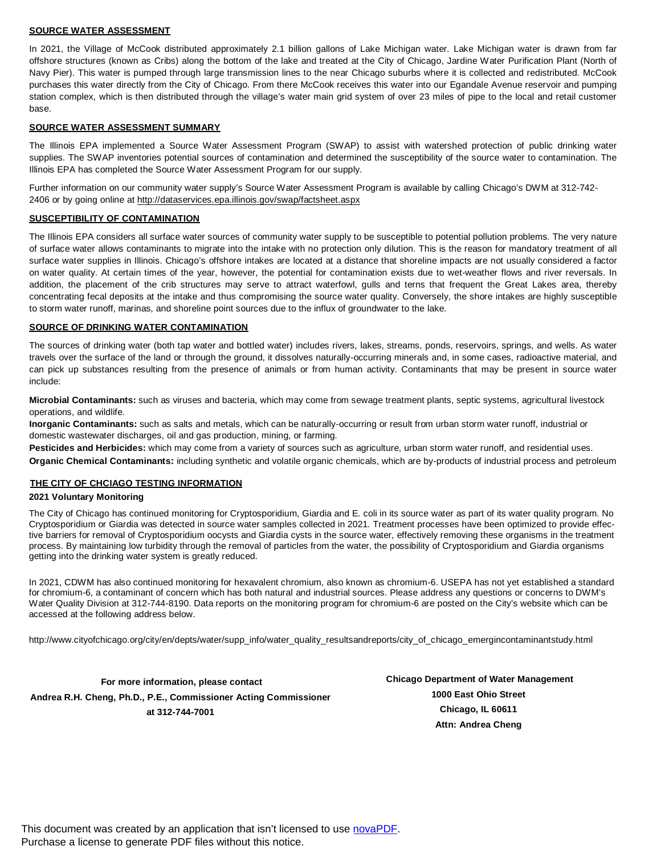#### **SOURCE WATER ASSESSMENT**

In 2021, the Village of McCook distributed approximately 2.1 billion gallons of Lake Michigan water. Lake Michigan water is drawn from far offshore structures (known as Cribs) along the bottom of the lake and treated at the City of Chicago, Jardine Water Purification Plant (North of Navy Pier). This water is pumped through large transmission lines to the near Chicago suburbs where it is collected and redistributed. McCook purchases this water directly from the City of Chicago. From there McCook receives this water into our Egandale Avenue reservoir and pumping station complex, which is then distributed through the village's water main grid system of over 23 miles of pipe to the local and retail customer base.

#### **SOURCE WATER ASSESSMENT SUMMARY**

The Illinois EPA implemented a Source Water Assessment Program (SWAP) to assist with watershed protection of public drinking water supplies. The SWAP inventories potential sources of contamination and determined the susceptibility of the source water to contamination. The Illinois EPA has completed the Source Water Assessment Program for our supply.

Further information on our community water supply's Source Water Assessment Program is available by calling Chicago's DWM at 312-742- 2406 or by going online at http://dataservices.epa.illinois.gov/swap/factsheet.aspx

#### **SUSCEPTIBILITY OF CONTAMINATION**

The Illinois EPA considers all surface water sources of community water supply to be susceptible to potential pollution problems. The very nature of surface water allows contaminants to migrate into the intake with no protection only dilution. This is the reason for mandatory treatment of all surface water supplies in Illinois. Chicago's offshore intakes are located at a distance that shoreline impacts are not usually considered a factor on water quality. At certain times of the year, however, the potential for contamination exists due to wet-weather flows and river reversals. In addition, the placement of the crib structures may serve to attract waterfowl, gulls and terns that frequent the Great Lakes area, thereby concentrating fecal deposits at the intake and thus compromising the source water quality. Conversely, the shore intakes are highly susceptible to storm water runoff, marinas, and shoreline point sources due to the influx of groundwater to the lake.

### **SOURCE OF DRINKING WATER CONTAMINATION**

The sources of drinking water (both tap water and bottled water) includes rivers, lakes, streams, ponds, reservoirs, springs, and wells. As water travels over the surface of the land or through the ground, it dissolves naturally-occurring minerals and, in some cases, radioactive material, and can pick up substances resulting from the presence of animals or from human activity. Contaminants that may be present in source water include:

**Microbial Contaminants:** such as viruses and bacteria, which may come from sewage treatment plants, septic systems, agricultural livestock operations, and wildlife.

**Inorganic Contaminants:** such as salts and metals, which can be naturally-occurring or result from urban storm water runoff, industrial or domestic wastewater discharges, oil and gas production, mining, or farming.

**Pesticides and Herbicides:** which may come from a variety of sources such as agriculture, urban storm water runoff, and residential uses. **Organic Chemical Contaminants:** including synthetic and volatile organic chemicals, which are by-products of industrial process and petroleum

## **THE CITY OF CHCIAGO TESTING INFORMATION**

## **2021 Voluntary Monitoring**

The City of Chicago has continued monitoring for Cryptosporidium, Giardia and E. coli in its source water as part of its water quality program. No Cryptosporidium or Giardia was detected in source water samples collected in 2021. Treatment processes have been optimized to provide effective barriers for removal of Cryptosporidium oocysts and Giardia cysts in the source water, effectively removing these organisms in the treatment process. By maintaining low turbidity through the removal of particles from the water, the possibility of Cryptosporidium and Giardia organisms getting into the drinking water system is greatly reduced.

In 2021, CDWM has also continued monitoring for hexavalent chromium, also known as chromium-6. USEPA has not yet established a standard for chromium-6, a contaminant of concern which has both natural and industrial sources. Please address any questions or concerns to DWM's Water Quality Division at 312-744-8190. Data reports on the monitoring program for chromium-6 are posted on the City's website which can be accessed at the following address below.

http://www.cityofchicago.org/city/en/depts/water/supp\_info/water\_quality\_resultsandreports/city\_of\_chicago\_emergincontaminantstudy.html

**For more information, please contact Andrea R.H. Cheng, Ph.D., P.E., Commissioner Acting Commissioner at 312-744-7001**

**Chicago Department of Water Management 1000 East Ohio Street Chicago, IL 60611 Attn: Andrea Cheng**